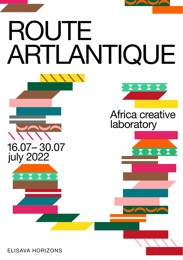

ELISAVA HORIZONS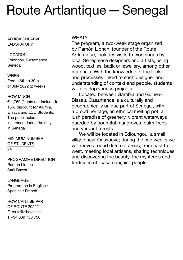# Route Artlantique—Senegal

#### AFRICA CREATIVE LABORATORY

#### LOCATION

Ediongou, Casamance, **Senegal** 

#### **WHFN**

From 16th to 30th of July 2022 (2 weeks)

#### HOW MUCH

 $\overline{\epsilon}$  1.750 (flights not included). 15% discount for Alumni, Elisava and LCC Students. The price includes insurance during the stay in Senegal.

#### MINIMUM NUMBER OF STUDENTS  $24$

PROGRAMME DIRECTION Ramon Llonch Saúl Baeza

#### LANGUAGE

Programme in English / Spanish / French

HOW CAN I BE PART OF ROUTE 2022? E route@elisava.net T +34 639 788 758

### WHAT?

The program, a two-week stage organized by Ramón Llonch, founder of the Route Artlantique, includes visits to workshops by local Senegalese designers and artists, using wood, textiles, batik or jewellery, among other materials. With the knowledge of the tools and processes linked to each designer and understanding of context and people, students will develop various projects.

Located between Gambia and Guinea-Bissau, Casamance is a culturally and geographically unique part of Senegal, with a proud heritage, an ethnical melting pot, a lush paradise of greenery, vibrant waterways guarded by bountiful mangroves, palm-trees and verdant forests.

We will be located in Edioungou, a small village near Oussouye; during the two weeks we will move around different areas, from east to west, meeting local artisans, sharing techniques and discovering the beauty, the mysteries and traditions of "casamançais" people.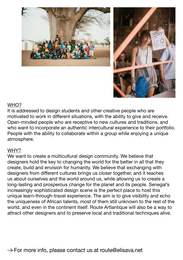



# WHO?

It is addressed to design students and other creative people who are motivated to work in different situations, with the ability to give and receive. Open-minded people who are receptive to new cultures and traditions, and who want to incorporate an authentic intercultural experience to their portfolio. People with the ability to collaborate within a group while enjoying a unique atmosphere.

## WHY?

We want to create a multicultural design community. We believe that designers hold the key to changing the world for the better in all that they create, build and envision for humanity. We believe that exchanging with designers from different cultures brings us closer together, and it teaches us about ourselves and the world around us, while allowing us to create a long-lasting and prosperous change for the planet and its people. Senegal's increasingly sophisticated design scene is the perfect place to host this unique learn-through-travel experience. The aim is to give visibility and echo the uniqueness of African talents, most of them still unknown to the rest of the world, and even in the continent itself. Route Artlantique will also be a way to attract other designers and to preserve local and traditional techniques alive.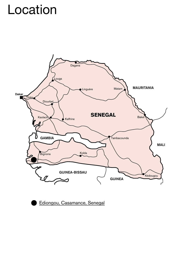# Location



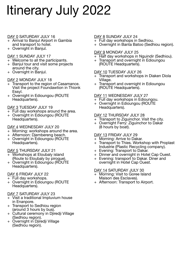# Itinerary July 2022

#### DAY 0 SATURDAY JULY 16

- + Arrival to Banjul Airport in Gambia and transport to hotel.
- + Overnight in Banjul.

#### DAY 1 SUNDAY JULY 17

- + Welcome to all the participants.
- + Banjul tour and visit some projects around the city.
- + Overnight in Banjul.

#### DAY 2 MONDAY JULY 18

- + Transport to the region of Casamance. Visit the project Foundawtion in Thionk Essyl.
- + Overnight in Edioungou (ROUTE Headquarters).

#### DAY 3 TUESDAY JULY 19

- + Full day workshops around the area.
- + Overnight in Edioungou (ROUTE Headquarters).

#### DAY 4 WEDNESDAY JULY 20

- + Morning: workshops around the area.
- + Afternoon: Djembereng beach.
- + Overnight in Edioungou (ROUTE Headquarters).

#### DAY 5 THURSDAY JULY 21

- + Workshops at Eloubaly island (Route to Eloubaly by pirogue).
- + Overnight in Edioungou (ROUTE Headquarters).

#### DAY 6 FRIDAY JULY 22

- + Full day workshops.
- + Overnight in Edioungou (ROUTE Headquarters).

#### DAY 7 SATURDAY JULY 23

- Visit a traditional Impluvium house in Enanpore.
- + Transport to Sedhiou region (around 3 hours by bus).
- + Cultural ceremony in Djiredji Village (Sedhiou region).
- + Overnight in Djiredji Village (Sedhiou region).

#### DAY 8 SUNDAY JULY 24

- + Full day workshops in Sedhiou.
- + Overnight in Banta Batoo (Sedhiou region).

#### DAY 9 MONDAY JULY 25

- + Half day workshops in Nguindir (Sedhiou).
- + Transport and overnight in Edioungou (ROUTE Headquarters).

#### DAY 10 TUESDAY JULY 26

- + Transport and workshops in Diaken Diola Village.
- + Transport and overnight in Edioungou (ROUTE Headquarters).

#### DAY 11 WEDNESDAY JULY 27

- + Full day workshops in Edioungou.
- + Overnight in Edioungou (ROUTE Headquarters).

#### DAY 12 THURSDAY JULY 28

- + Transport to Ziguinchor. Visit the city.
- + Overnight Ferry: Ziguinchor to Dakar (8 hours by boat).

#### DAY 13 FRIDAY JULY 29

- + Morning: Arrive to Dakar.
- + Transport to Thies. Workshop with Proplast Industrie (Plastic Recycling company).
- + Evening: Transport to Dakar.
- + Dinner and overnight in Hotel Cap Ouest.
- + Evening: transport to Dakar. Diner and overnight in Hotel Cap Ouest.

#### DAY 14 SATURDAY JULY 30

- + Morning: Visit to Goree Island Maison des Esclaves).
- + Afternoon: Transport to Airport.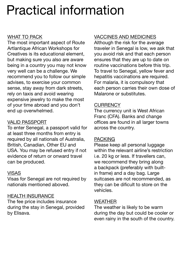# Practical information

## WHAT TO PACK

The most important aspect of Route Artlantique African Workshops for Creatives is its educational element, but making sure you also are aware being in a country you may not know very well can be a challenge. We recommend you to follow our simple advises, to exercise your common sense, stay away from dark streets, rely on taxis and avoid wearing expensive jewelry to make the most of your time abroad and you don't end up overwhelmed.

# VALID PASSPORT

To enter Senegal, a passport valid for at least three months from entry is required by all nationals of Australia, British, Canadian, Other EU and USA. You may be refused entry if not evidence of return or onward travel can be produced.

### VISAS

Visas for Senegal are not required by nationals mentioned aboved.

## HEALTH INSURANCE

The fee price includes insurance during the stay in Senegal, provided by Elisava.

## VACCINES AND MEDICINES

Although the risk for the average traveler in Senegal is low, we ask that you avoid risk and that each person ensures that they are up to date on routine vaccinations before this trip. To travel to Senegal, yellow fever and hepatitis vaccinations are required. For malaria, it is compulsory that each person carries their own dose of Malarone or substitutes.

## **CURRENCY**

The currency unit is West African Franc (CFA). Banks and change offices are found in all larger towns across the country.

## PACKING

Please keep all personal luggage within the relevant airline's restriction i.e. 20 kg or less. If travellers can, we recommend they bring along a backpack (preferably with builtin frame) and a day bag. Large suitcases are not recommended, as they can be dificult to store on the vehicles.

### WEATHER

The weather is likely to be warm during the day but could be cooler or even rainy in the south of the country.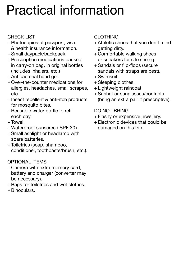# Practical information

# CHECK LIST

- + Photocopies of passport, visa & health insurance information.
- + Small daypack/backpack.
- + Prescription medications packed in carry-on bag, in original bottles (includes inhalers, etc.)
- + Antibacterial hand gel.
- + Over-the-counter medications for allergies, headaches, small scrapes, etc.
- + Insect repellent & anti-itch products for mosquito bites.
- + Reusable water bottle to refil each day.
- + Towel.
- + Waterproof sunscreen SPF 30+.
- + Small ashlight or headlamp with spare batteries.
- + Toiletries (soap, shampoo, conditioner, toothpaste/brush, etc.).

# OPTIONAL ITEMS

- + Camera with extra memory card, battery and charger (converter may be necessary).
- + Bags for toiletries and wet clothes.
- + Binoculars.

# CLOTHING

- + Athletic shoes that you don't mind getting dirty.
- + Comfortable walking shoes or sneakers for site seeing.
- + Sandals or flip-flops (secure sandals with straps are best).
- + Swimsuit.
- + Sleeping clothes.
- + Lightweight raincoat.
- + Sunhat or sunglasses/contacts (bring an extra pair if prescriptive).

# DO NOT BRING

- + Flashy or expensive jewellery.
- + Electronic devices that could be damaged on this trip.